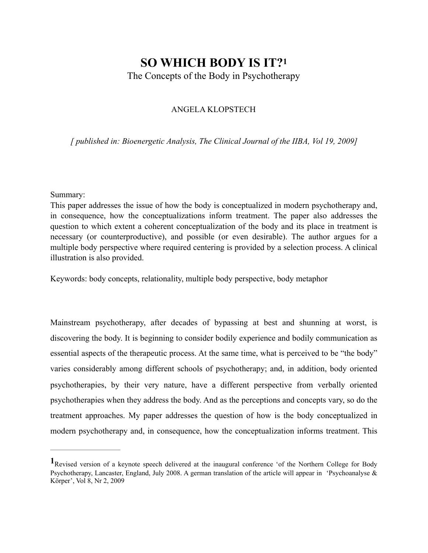# **SO WHICH BODY IS IT[?1](#page-0-0)**

The Concepts of the Body in Psychotherapy

### <span id="page-0-1"></span>ANGELA KLOPSTECH

*[ published in: Bioenergetic Analysis, The Clinical Journal of the IIBA, Vol 19, 2009]* 

#### Summary:

This paper addresses the issue of how the body is conceptualized in modern psychotherapy and, in consequence, how the conceptualizations inform treatment. The paper also addresses the question to which extent a coherent conceptualization of the body and its place in treatment is necessary (or counterproductive), and possible (or even desirable). The author argues for a multiple body perspective where required centering is provided by a selection process. A clinical illustration is also provided.

Keywords: body concepts, relationality, multiple body perspective, body metaphor

Mainstream psychotherapy, after decades of bypassing at best and shunning at worst, is discovering the body. It is beginning to consider bodily experience and bodily communication as essential aspects of the therapeutic process. At the same time, what is perceived to be "the body" varies considerably among different schools of psychotherapy; and, in addition, body oriented psychotherapies, by their very nature, have a different perspective from verbally oriented psychotherapies when they address the body. And as the perceptions and concepts vary, so do the treatment approaches. My paper addresses the question of how is the body conceptualized in modern psychotherapy and, in consequence, how the conceptualization informs treatment. This

<span id="page-0-0"></span>Revised version of a keynote speech delivered at the inaugural conference 'of the Northern College for Body **[1](#page-0-1)** Psychotherapy, Lancaster, England, July 2008. A german translation of the article will appear in 'Psychoanalyse & Körper', Vol 8, Nr 2, 2009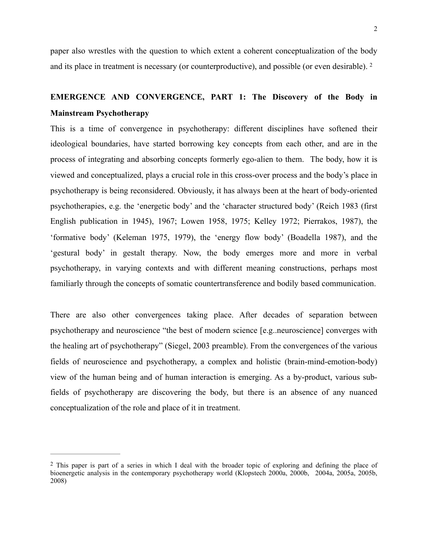<span id="page-1-1"></span>paper also wrestles with the question to which extent a coherent conceptualization of the body and its place in treatment is necessary (or counterproductive), and possible (or even desirable). [2](#page-1-0)

## **EMERGENCE AND CONVERGENCE, PART 1: The Discovery of the Body in Mainstream Psychotherapy**

This is a time of convergence in psychotherapy: different disciplines have softened their ideological boundaries, have started borrowing key concepts from each other, and are in the process of integrating and absorbing concepts formerly ego-alien to them. The body, how it is viewed and conceptualized, plays a crucial role in this cross-over process and the body's place in psychotherapy is being reconsidered. Obviously, it has always been at the heart of body-oriented psychotherapies, e.g. the 'energetic body' and the 'character structured body' (Reich 1983 (first English publication in 1945), 1967; Lowen 1958, 1975; Kelley 1972; Pierrakos, 1987), the 'formative body' (Keleman 1975, 1979), the 'energy flow body' (Boadella 1987), and the 'gestural body' in gestalt therapy. Now, the body emerges more and more in verbal psychotherapy, in varying contexts and with different meaning constructions, perhaps most familiarly through the concepts of somatic countertransference and bodily based communication.

There are also other convergences taking place. After decades of separation between psychotherapy and neuroscience "the best of modern science [e.g..neuroscience] converges with the healing art of psychotherapy" (Siegel, 2003 preamble). From the convergences of the various fields of neuroscience and psychotherapy, a complex and holistic (brain-mind-emotion-body) view of the human being and of human interaction is emerging. As a by-product, various subfields of psychotherapy are discovering the body, but there is an absence of any nuanced conceptualization of the role and place of it in treatment.

<span id="page-1-0"></span><sup>&</sup>lt;sup>[2](#page-1-1)</sup> This paper is part of a series in which I deal with the broader topic of exploring and defining the place of bioenergetic analysis in the contemporary psychotherapy world (Klopstech 2000a, 2000b, 2004a, 2005a, 2005b, 2008)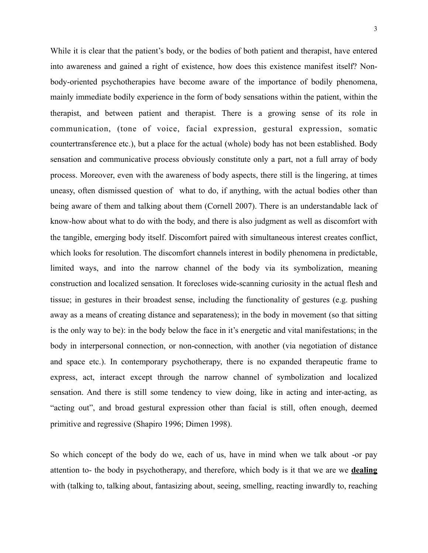While it is clear that the patient's body, or the bodies of both patient and therapist, have entered into awareness and gained a right of existence, how does this existence manifest itself? Nonbody-oriented psychotherapies have become aware of the importance of bodily phenomena, mainly immediate bodily experience in the form of body sensations within the patient, within the therapist, and between patient and therapist. There is a growing sense of its role in communication, (tone of voice, facial expression, gestural expression, somatic countertransference etc.), but a place for the actual (whole) body has not been established. Body sensation and communicative process obviously constitute only a part, not a full array of body process. Moreover, even with the awareness of body aspects, there still is the lingering, at times uneasy, often dismissed question of what to do, if anything, with the actual bodies other than being aware of them and talking about them (Cornell 2007). There is an understandable lack of know-how about what to do with the body, and there is also judgment as well as discomfort with the tangible, emerging body itself. Discomfort paired with simultaneous interest creates conflict, which looks for resolution. The discomfort channels interest in bodily phenomena in predictable, limited ways, and into the narrow channel of the body via its symbolization, meaning construction and localized sensation. It forecloses wide-scanning curiosity in the actual flesh and tissue; in gestures in their broadest sense, including the functionality of gestures (e.g. pushing away as a means of creating distance and separateness); in the body in movement (so that sitting is the only way to be): in the body below the face in it's energetic and vital manifestations; in the body in interpersonal connection, or non-connection, with another (via negotiation of distance and space etc.). In contemporary psychotherapy, there is no expanded therapeutic frame to express, act, interact except through the narrow channel of symbolization and localized sensation. And there is still some tendency to view doing, like in acting and inter-acting, as "acting out", and broad gestural expression other than facial is still, often enough, deemed primitive and regressive (Shapiro 1996; Dimen 1998).

So which concept of the body do we, each of us, have in mind when we talk about -or pay attention to- the body in psychotherapy, and therefore, which body is it that we are we **dealing** with (talking to, talking about, fantasizing about, seeing, smelling, reacting inwardly to, reaching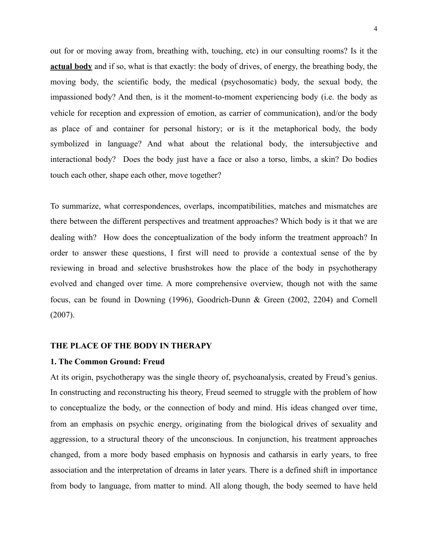out for or moving away from, breathing with, touching, etc) in our consulting rooms? Is it the **actual body** and if so, what is that exactly: the body of drives, of energy, the breathing body, the moving body, the scientific body, the medical (psychosomatic) body, the sexual body, the impassioned body? And then, is it the moment-to-moment experiencing body (i.e. the body as vehicle for reception and expression of emotion, as carrier of communication), and/or the body as place of and container for personal history; or is it the metaphorical body, the body symbolized in language? And what about the relational body, the intersubjective and interactional body? Does the body just have a face or also a torso, limbs, a skin? Do bodies touch each other, shape each other, move together?

To summarize, what correspondences, overlaps, incompatibilities, matches and mismatches are there between the different perspectives and treatment approaches? Which body is it that we are dealing with? How does the conceptualization of the body inform the treatment approach? In order to answer these questions, I first will need to provide a contextual sense of the by reviewing in broad and selective brushstrokes how the place of the body in psychotherapy evolved and changed over time. A more comprehensive overview, though not with the same focus, can be found in Downing (1996), Goodrich-Dunn & Green (2002, 2204) and Cornell (2007).

#### **THE PLACE OF THE BODY IN THERAPY**

#### **1. The Common Ground: Freud**

At its origin, psychotherapy was the single theory of, psychoanalysis, created by Freud's genius. In constructing and reconstructing his theory, Freud seemed to struggle with the problem of how to conceptualize the body, or the connection of body and mind. His ideas changed over time, from an emphasis on psychic energy, originating from the biological drives of sexuality and aggression, to a structural theory of the unconscious. In conjunction, his treatment approaches changed, from a more body based emphasis on hypnosis and catharsis in early years, to free association and the interpretation of dreams in later years. There is a defined shift in importance from body to language, from matter to mind. All along though, the body seemed to have held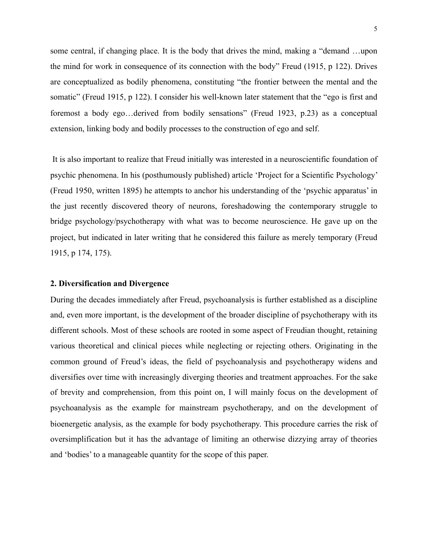some central, if changing place. It is the body that drives the mind, making a "demand …upon the mind for work in consequence of its connection with the body" Freud (1915, p 122). Drives are conceptualized as bodily phenomena, constituting "the frontier between the mental and the somatic" (Freud 1915, p 122). I consider his well-known later statement that the "ego is first and foremost a body ego…derived from bodily sensations" (Freud 1923, p.23) as a conceptual extension, linking body and bodily processes to the construction of ego and self.

 It is also important to realize that Freud initially was interested in a neuroscientific foundation of psychic phenomena. In his (posthumously published) article 'Project for a Scientific Psychology' (Freud 1950, written 1895) he attempts to anchor his understanding of the 'psychic apparatus' in the just recently discovered theory of neurons, foreshadowing the contemporary struggle to bridge psychology/psychotherapy with what was to become neuroscience. He gave up on the project, but indicated in later writing that he considered this failure as merely temporary (Freud 1915, p 174, 175).

#### **2. Diversification and Divergence**

During the decades immediately after Freud, psychoanalysis is further established as a discipline and, even more important, is the development of the broader discipline of psychotherapy with its different schools. Most of these schools are rooted in some aspect of Freudian thought, retaining various theoretical and clinical pieces while neglecting or rejecting others. Originating in the common ground of Freud's ideas, the field of psychoanalysis and psychotherapy widens and diversifies over time with increasingly diverging theories and treatment approaches. For the sake of brevity and comprehension, from this point on, I will mainly focus on the development of psychoanalysis as the example for mainstream psychotherapy, and on the development of bioenergetic analysis, as the example for body psychotherapy. This procedure carries the risk of oversimplification but it has the advantage of limiting an otherwise dizzying array of theories and 'bodies' to a manageable quantity for the scope of this paper.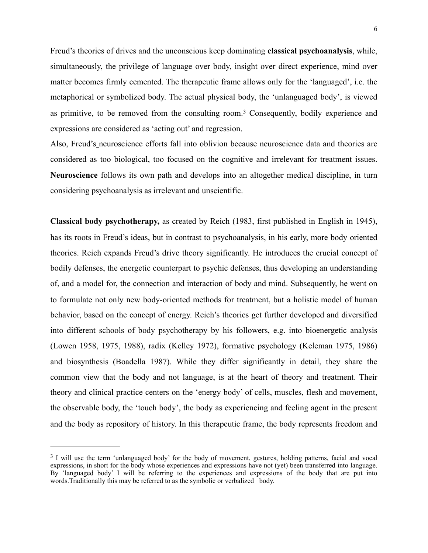Freud's theories of drives and the unconscious keep dominating **classical psychoanalysis**, while, simultaneously, the privilege of language over body, insight over direct experience, mind over matter becomes firmly cemented. The therapeutic frame allows only for the 'languaged', i.e. the metaphorical or symbolized body. The actual physical body, the 'unlanguaged body', is viewed asprimitive, to be removed from the consulting room.<sup>[3](#page-5-0)</sup> Consequently, bodily experience and expressions are considered as 'acting out' and regression.

<span id="page-5-1"></span>Also, Freud's neuroscience efforts fall into oblivion because neuroscience data and theories are considered as too biological, too focused on the cognitive and irrelevant for treatment issues. **Neuroscience** follows its own path and develops into an altogether medical discipline, in turn considering psychoanalysis as irrelevant and unscientific.

**Classical body psychotherapy,** as created by Reich (1983, first published in English in 1945), has its roots in Freud's ideas, but in contrast to psychoanalysis, in his early, more body oriented theories. Reich expands Freud's drive theory significantly. He introduces the crucial concept of bodily defenses, the energetic counterpart to psychic defenses, thus developing an understanding of, and a model for, the connection and interaction of body and mind. Subsequently, he went on to formulate not only new body-oriented methods for treatment, but a holistic model of human behavior, based on the concept of energy. Reich's theories get further developed and diversified into different schools of body psychotherapy by his followers, e.g. into bioenergetic analysis (Lowen 1958, 1975, 1988), radix (Kelley 1972), formative psychology (Keleman 1975, 1986) and biosynthesis (Boadella 1987). While they differ significantly in detail, they share the common view that the body and not language, is at the heart of theory and treatment. Their theory and clinical practice centers on the 'energy body' of cells, muscles, flesh and movement, the observable body, the 'touch body', the body as experiencing and feeling agent in the present and the body as repository of history. In this therapeutic frame, the body represents freedom and

<span id="page-5-0"></span><sup>&</sup>lt;sup>[3](#page-5-1)</sup> I will use the term 'unlanguaged body' for the body of movement, gestures, holding patterns, facial and vocal expressions, in short for the body whose experiences and expressions have not (yet) been transferred into language. By 'languaged body' I will be referring to the experiences and expressions of the body that are put into words.Traditionally this may be referred to as the symbolic or verbalized body.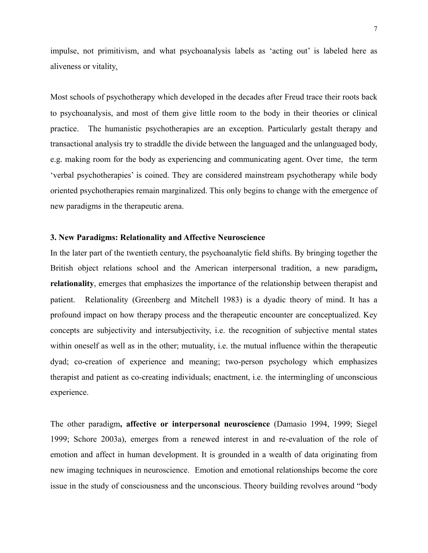impulse, not primitivism, and what psychoanalysis labels as 'acting out' is labeled here as aliveness or vitality.

Most schools of psychotherapy which developed in the decades after Freud trace their roots back to psychoanalysis, and most of them give little room to the body in their theories or clinical practice. The humanistic psychotherapies are an exception. Particularly gestalt therapy and transactional analysis try to straddle the divide between the languaged and the unlanguaged body, e.g. making room for the body as experiencing and communicating agent. Over time, the term 'verbal psychotherapies' is coined. They are considered mainstream psychotherapy while body oriented psychotherapies remain marginalized. This only begins to change with the emergence of new paradigms in the therapeutic arena.

#### **3. New Paradigms: Relationality and Affective Neuroscience**

In the later part of the twentieth century, the psychoanalytic field shifts. By bringing together the British object relations school and the American interpersonal tradition, a new paradigm**, relationality**, emerges that emphasizes the importance of the relationship between therapist and patient. Relationality (Greenberg and Mitchell 1983) is a dyadic theory of mind. It has a profound impact on how therapy process and the therapeutic encounter are conceptualized. Key concepts are subjectivity and intersubjectivity, i.e. the recognition of subjective mental states within oneself as well as in the other; mutuality, i.e. the mutual influence within the therapeutic dyad; co-creation of experience and meaning; two-person psychology which emphasizes therapist and patient as co-creating individuals; enactment, i.e. the intermingling of unconscious experience.

The other paradigm**, affective or interpersonal neuroscience** (Damasio 1994, 1999; Siegel 1999; Schore 2003a), emerges from a renewed interest in and re-evaluation of the role of emotion and affect in human development. It is grounded in a wealth of data originating from new imaging techniques in neuroscience. Emotion and emotional relationships become the core issue in the study of consciousness and the unconscious. Theory building revolves around "body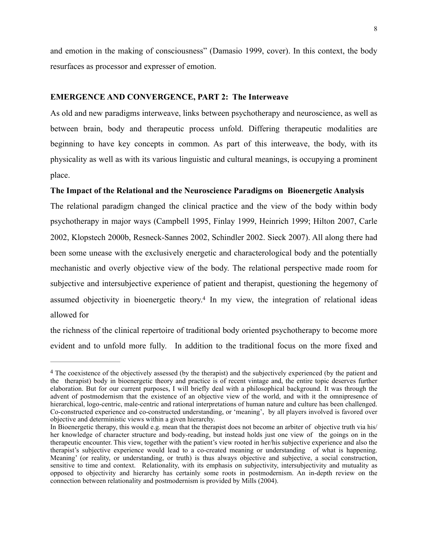and emotion in the making of consciousness" (Damasio 1999, cover). In this context, the body resurfaces as processor and expresser of emotion.

#### **EMERGENCE AND CONVERGENCE, PART 2: The Interweave**

As old and new paradigms interweave, links between psychotherapy and neuroscience, as well as between brain, body and therapeutic process unfold. Differing therapeutic modalities are beginning to have key concepts in common. As part of this interweave, the body, with its physicality as well as with its various linguistic and cultural meanings, is occupying a prominent place.

#### **The Impact of the Relational and the Neuroscience Paradigms on Bioenergetic Analysis**

The relational paradigm changed the clinical practice and the view of the body within body psychotherapy in major ways (Campbell 1995, Finlay 1999, Heinrich 1999; Hilton 2007, Carle 2002, Klopstech 2000b, Resneck-Sannes 2002, Schindler 2002. Sieck 2007). All along there had been some unease with the exclusively energetic and characterological body and the potentially mechanistic and overly objective view of the body. The relational perspective made room for subjective and intersubjective experience of patient and therapist, questioning the hegemony of assumed objectivity in bioenergetic theory[.](#page-7-0)<sup>[4](#page-7-0)</sup> In my view, the integration of relational ideas allowed for

<span id="page-7-1"></span>the richness of the clinical repertoire of traditional body oriented psychotherapy to become more evident and to unfold more fully. In addition to the traditional focus on the more fixed and

<span id="page-7-0"></span><sup>&</sup>lt;sup>[4](#page-7-1)</sup> The coexistence of the objectively assessed (by the therapist) and the subjectively experienced (by the patient and the therapist) body in bioenergetic theory and practice is of recent vintage and, the entire topic deserves further elaboration. But for our current purposes, I will briefly deal with a philosophical background. It was through the advent of postmodernism that the existence of an objective view of the world, and with it the omnipresence of hierarchical, logo-centric, male-centric and rational interpretations of human nature and culture has been challenged. Co-constructed experience and co-constructed understanding, or 'meaning', by all players involved is favored over objective and deterministic views within a given hierarchy.

In Bioenergetic therapy, this would e.g. mean that the therapist does not become an arbiter of objective truth via his/ her knowledge of character structure and body-reading, but instead holds just one view of the goings on in the therapeutic encounter. This view, together with the patient's view rooted in her/his subjective experience and also the therapist's subjective experience would lead to a co-created meaning or understanding of what is happening. Meaning' (or reality, or understanding, or truth) is thus always objective and subjective, a social construction, sensitive to time and context. Relationality, with its emphasis on subjectivity, intersubjectivity and mutuality as opposed to objectivity and hierarchy has certainly some roots in postmodernism. An in-depth review on the connection between relationality and postmodernism is provided by Mills (2004).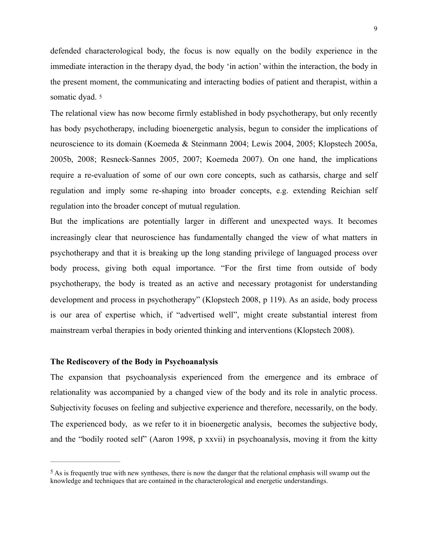defended characterological body, the focus is now equally on the bodily experience in the immediate interaction in the therapy dyad, the body 'in action' within the interaction, the body in the present moment, the communicating and interacting bodies of patient and therapist, within a somatic dyad. 5

<span id="page-8-1"></span>The relational view has now become firmly established in body psychotherapy, but only recently has body psychotherapy, including bioenergetic analysis, begun to consider the implications of neuroscience to its domain (Koemeda & Steinmann 2004; Lewis 2004, 2005; Klopstech 2005a, 2005b, 2008; Resneck-Sannes 2005, 2007; Koemeda 2007). On one hand, the implications require a re-evaluation of some of our own core concepts, such as catharsis, charge and self regulation and imply some re-shaping into broader concepts, e.g. extending Reichian self regulation into the broader concept of mutual regulation.

But the implications are potentially larger in different and unexpected ways. It becomes increasingly clear that neuroscience has fundamentally changed the view of what matters in psychotherapy and that it is breaking up the long standing privilege of languaged process over body process, giving both equal importance. "For the first time from outside of body psychotherapy, the body is treated as an active and necessary protagonist for understanding development and process in psychotherapy" (Klopstech 2008, p 119). As an aside, body process is our area of expertise which, if "advertised well", might create substantial interest from mainstream verbal therapies in body oriented thinking and interventions (Klopstech 2008).

#### **The Rediscovery of the Body in Psychoanalysis**

The expansion that psychoanalysis experienced from the emergence and its embrace of relationality was accompanied by a changed view of the body and its role in analytic process. Subjectivity focuses on feeling and subjective experience and therefore, necessarily, on the body. The experienced body, as we refer to it in bioenergetic analysis, becomes the subjective body, and the "bodily rooted self" (Aaron 1998, p xxvii) in psychoanalysis, moving it from the kitty

<span id="page-8-0"></span> $<sup>5</sup>$  $<sup>5</sup>$  $<sup>5</sup>$  As is frequently true with new syntheses, there is now the danger that the relational emphasis will swamp out the</sup> knowledge and techniques that are contained in the characterological and energetic understandings.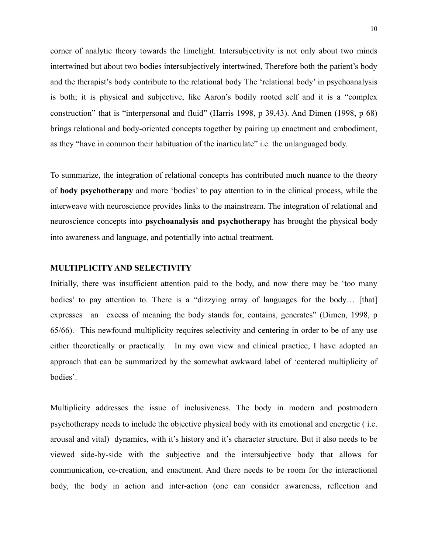corner of analytic theory towards the limelight. Intersubjectivity is not only about two minds intertwined but about two bodies intersubjectively intertwined, Therefore both the patient's body and the therapist's body contribute to the relational body The 'relational body' in psychoanalysis is both; it is physical and subjective, like Aaron's bodily rooted self and it is a "complex construction" that is "interpersonal and fluid" (Harris 1998, p 39,43). And Dimen (1998, p 68) brings relational and body-oriented concepts together by pairing up enactment and embodiment, as they "have in common their habituation of the inarticulate" i.e. the unlanguaged body.

To summarize, the integration of relational concepts has contributed much nuance to the theory of **body psychotherapy** and more 'bodies' to pay attention to in the clinical process, while the interweave with neuroscience provides links to the mainstream. The integration of relational and neuroscience concepts into **psychoanalysis and psychotherapy** has brought the physical body into awareness and language, and potentially into actual treatment.

#### **MULTIPLICITY AND SELECTIVITY**

Initially, there was insufficient attention paid to the body, and now there may be 'too many bodies' to pay attention to. There is a "dizzying array of languages for the body... [that] expresses an excess of meaning the body stands for, contains, generates" (Dimen, 1998, p 65/66). This newfound multiplicity requires selectivity and centering in order to be of any use either theoretically or practically. In my own view and clinical practice, I have adopted an approach that can be summarized by the somewhat awkward label of 'centered multiplicity of bodies'.

Multiplicity addresses the issue of inclusiveness. The body in modern and postmodern psychotherapy needs to include the objective physical body with its emotional and energetic ( i.e. arousal and vital) dynamics, with it's history and it's character structure. But it also needs to be viewed side-by-side with the subjective and the intersubjective body that allows for communication, co-creation, and enactment. And there needs to be room for the interactional body, the body in action and inter-action (one can consider awareness, reflection and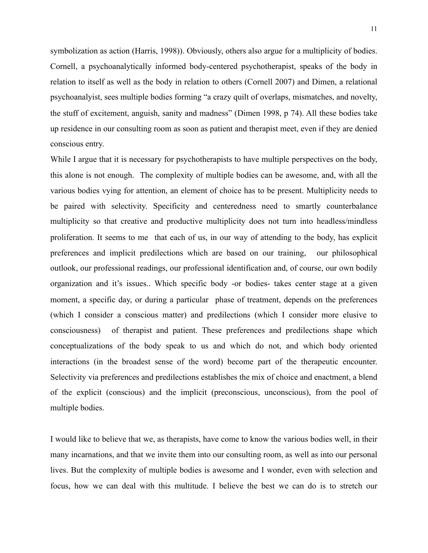symbolization as action (Harris, 1998)). Obviously, others also argue for a multiplicity of bodies. Cornell, a psychoanalytically informed body-centered psychotherapist, speaks of the body in relation to itself as well as the body in relation to others (Cornell 2007) and Dimen, a relational psychoanalyist, sees multiple bodies forming "a crazy quilt of overlaps, mismatches, and novelty, the stuff of excitement, anguish, sanity and madness" (Dimen 1998, p 74). All these bodies take up residence in our consulting room as soon as patient and therapist meet, even if they are denied conscious entry.

While I argue that it is necessary for psychotherapists to have multiple perspectives on the body, this alone is not enough. The complexity of multiple bodies can be awesome, and, with all the various bodies vying for attention, an element of choice has to be present. Multiplicity needs to be paired with selectivity. Specificity and centeredness need to smartly counterbalance multiplicity so that creative and productive multiplicity does not turn into headless/mindless proliferation. It seems to me that each of us, in our way of attending to the body, has explicit preferences and implicit predilections which are based on our training, our philosophical outlook, our professional readings, our professional identification and, of course, our own bodily organization and it's issues.. Which specific body -or bodies- takes center stage at a given moment, a specific day, or during a particular phase of treatment, depends on the preferences (which I consider a conscious matter) and predilections (which I consider more elusive to consciousness) of therapist and patient. These preferences and predilections shape which conceptualizations of the body speak to us and which do not, and which body oriented interactions (in the broadest sense of the word) become part of the therapeutic encounter. Selectivity via preferences and predilections establishes the mix of choice and enactment, a blend of the explicit (conscious) and the implicit (preconscious, unconscious), from the pool of multiple bodies.

I would like to believe that we, as therapists, have come to know the various bodies well, in their many incarnations, and that we invite them into our consulting room, as well as into our personal lives. But the complexity of multiple bodies is awesome and I wonder, even with selection and focus, how we can deal with this multitude. I believe the best we can do is to stretch our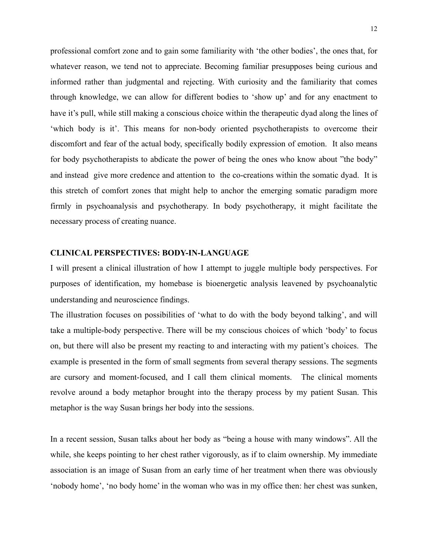professional comfort zone and to gain some familiarity with 'the other bodies', the ones that, for whatever reason, we tend not to appreciate. Becoming familiar presupposes being curious and informed rather than judgmental and rejecting. With curiosity and the familiarity that comes through knowledge, we can allow for different bodies to 'show up' and for any enactment to have it's pull, while still making a conscious choice within the therapeutic dyad along the lines of 'which body is it'. This means for non-body oriented psychotherapists to overcome their discomfort and fear of the actual body, specifically bodily expression of emotion. It also means for body psychotherapists to abdicate the power of being the ones who know about "the body" and instead give more credence and attention to the co-creations within the somatic dyad. It is this stretch of comfort zones that might help to anchor the emerging somatic paradigm more firmly in psychoanalysis and psychotherapy. In body psychotherapy, it might facilitate the necessary process of creating nuance.

#### **CLINICAL PERSPECTIVES: BODY-IN-LANGUAGE**

I will present a clinical illustration of how I attempt to juggle multiple body perspectives. For purposes of identification, my homebase is bioenergetic analysis leavened by psychoanalytic understanding and neuroscience findings.

The illustration focuses on possibilities of 'what to do with the body beyond talking', and will take a multiple-body perspective. There will be my conscious choices of which 'body' to focus on, but there will also be present my reacting to and interacting with my patient's choices. The example is presented in the form of small segments from several therapy sessions. The segments are cursory and moment-focused, and I call them clinical moments. The clinical moments revolve around a body metaphor brought into the therapy process by my patient Susan. This metaphor is the way Susan brings her body into the sessions.

In a recent session, Susan talks about her body as "being a house with many windows". All the while, she keeps pointing to her chest rather vigorously, as if to claim ownership. My immediate association is an image of Susan from an early time of her treatment when there was obviously 'nobody home', 'no body home' in the woman who was in my office then: her chest was sunken,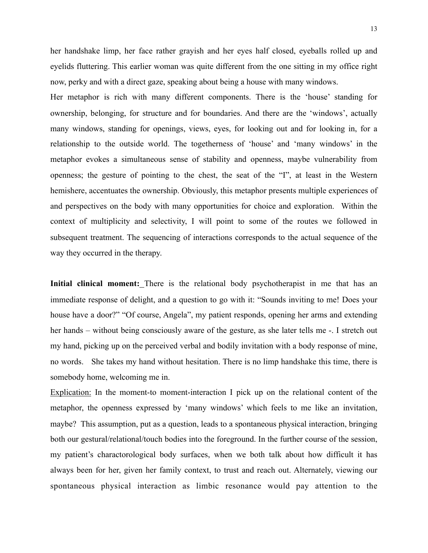her handshake limp, her face rather grayish and her eyes half closed, eyeballs rolled up and eyelids fluttering. This earlier woman was quite different from the one sitting in my office right now, perky and with a direct gaze, speaking about being a house with many windows.

Her metaphor is rich with many different components. There is the 'house' standing for ownership, belonging, for structure and for boundaries. And there are the 'windows', actually many windows, standing for openings, views, eyes, for looking out and for looking in, for a relationship to the outside world. The togetherness of 'house' and 'many windows' in the metaphor evokes a simultaneous sense of stability and openness, maybe vulnerability from openness; the gesture of pointing to the chest, the seat of the "I", at least in the Western hemishere, accentuates the ownership. Obviously, this metaphor presents multiple experiences of and perspectives on the body with many opportunities for choice and exploration. Within the context of multiplicity and selectivity, I will point to some of the routes we followed in subsequent treatment. The sequencing of interactions corresponds to the actual sequence of the way they occurred in the therapy.

**Initial clinical moment:** There is the relational body psychotherapist in me that has an immediate response of delight, and a question to go with it: "Sounds inviting to me! Does your house have a door?" "Of course, Angela", my patient responds, opening her arms and extending her hands – without being consciously aware of the gesture, as she later tells me -. I stretch out my hand, picking up on the perceived verbal and bodily invitation with a body response of mine, no words. She takes my hand without hesitation. There is no limp handshake this time, there is somebody home, welcoming me in.

Explication: In the moment-to moment-interaction I pick up on the relational content of the metaphor, the openness expressed by 'many windows' which feels to me like an invitation, maybe? This assumption, put as a question, leads to a spontaneous physical interaction, bringing both our gestural/relational/touch bodies into the foreground. In the further course of the session, my patient's charactorological body surfaces, when we both talk about how difficult it has always been for her, given her family context, to trust and reach out. Alternately, viewing our spontaneous physical interaction as limbic resonance would pay attention to the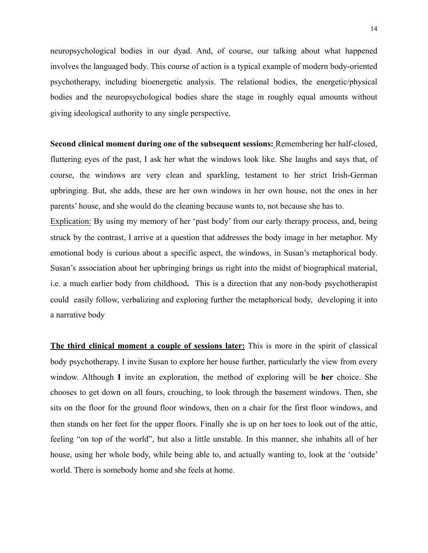neuropsychological bodies in our dyad. And, of course, our talking about what happened involves the languaged body. This course of action is a typical example of modern body-oriented psychotherapy, including bioenergetic analysis. The relational bodies, the energetic/physical bodies and the neuropsychological bodies share the stage in roughly equal amounts without giving ideological authority to any single perspective.

**Second clinical moment during one of the subsequent sessions:** Remembering her half-closed, fluttering eyes of the past, I ask her what the windows look like. She laughs and says that, of course, the windows are very clean and sparkling, testament to her strict Irish-German upbringing. But, she adds, these are her own windows in her own house, not the ones in her parents' house, and she would do the cleaning because wants to, not because she has to.

Explication: By using my memory of her 'past body' from our early therapy process, and, being struck by the contrast, I arrive at a question that addresses the body image in her metaphor. My emotional body is curious about a specific aspect, the windows, in Susan's metaphorical body. Susan's association about her upbringing brings us right into the midst of biographical material, i.e. a much earlier body from childhood**.** This is a direction that any non-body psychotherapist could easily follow, verbalizing and exploring further the metaphorical body, developing it into a narrative body

**The third clinical moment a couple of sessions later:** This is more in the spirit of classical body psychotherapy. I invite Susan to explore her house further, particularly the view from every window. Although **I** invite an exploration, the method of exploring will be **her** choice. She chooses to get down on all fours, crouching, to look through the basement windows. Then, she sits on the floor for the ground floor windows, then on a chair for the first floor windows, and then stands on her feet for the upper floors. Finally she is up on her toes to look out of the attic, feeling "on top of the world", but also a little unstable. In this manner, she inhabits all of her house, using her whole body, while being able to, and actually wanting to, look at the 'outside' world. There is somebody home and she feels at home.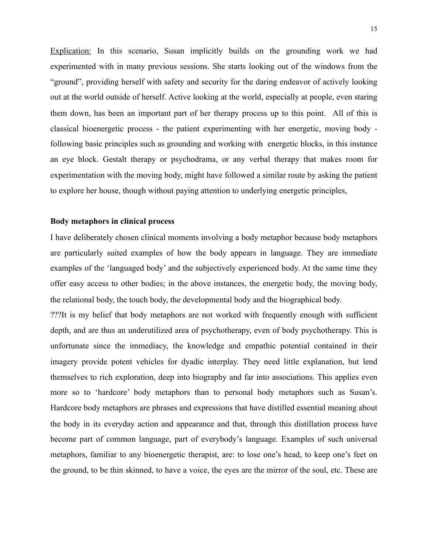Explication: In this scenario, Susan implicitly builds on the grounding work we had experimented with in many previous sessions. She starts looking out of the windows from the "ground", providing herself with safety and security for the daring endeavor of actively looking out at the world outside of herself. Active looking at the world, especially at people, even staring them down, has been an important part of her therapy process up to this point. All of this is classical bioenergetic process - the patient experimenting with her energetic, moving body following basic principles such as grounding and working with energetic blocks, in this instance an eye block. Gestalt therapy or psychodrama, or any verbal therapy that makes room for experimentation with the moving body, might have followed a similar route by asking the patient to explore her house, though without paying attention to underlying energetic principles,

#### **Body metaphors in clinical process**

I have deliberately chosen clinical moments involving a body metaphor because body metaphors are particularly suited examples of how the body appears in language. They are immediate examples of the 'languaged body' and the subjectively experienced body. At the same time they offer easy access to other bodies; in the above instances, the energetic body, the moving body, the relational body, the touch body, the developmental body and the biographical body.

???It is my belief that body metaphors are not worked with frequently enough with sufficient depth, and are thus an underutilized area of psychotherapy, even of body psychotherapy. This is unfortunate since the immediacy, the knowledge and empathic potential contained in their imagery provide potent vehicles for dyadic interplay. They need little explanation, but lend themselves to rich exploration, deep into biography and far into associations. This applies even more so to 'hardcore' body metaphors than to personal body metaphors such as Susan's. Hardcore body metaphors are phrases and expressions that have distilled essential meaning about the body in its everyday action and appearance and that, through this distillation process have become part of common language, part of everybody's language. Examples of such universal metaphors, familiar to any bioenergetic therapist, are: to lose one's head, to keep one's feet on the ground, to be thin skinned, to have a voice, the eyes are the mirror of the soul, etc. These are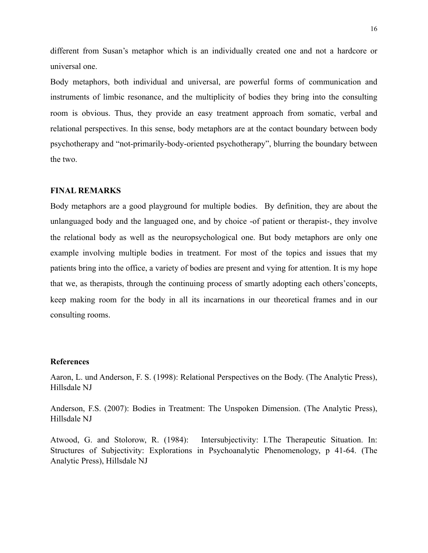different from Susan's metaphor which is an individually created one and not a hardcore or universal one.

Body metaphors, both individual and universal, are powerful forms of communication and instruments of limbic resonance, and the multiplicity of bodies they bring into the consulting room is obvious. Thus, they provide an easy treatment approach from somatic, verbal and relational perspectives. In this sense, body metaphors are at the contact boundary between body psychotherapy and "not-primarily-body-oriented psychotherapy", blurring the boundary between the two.

#### **FINAL REMARKS**

Body metaphors are a good playground for multiple bodies. By definition, they are about the unlanguaged body and the languaged one, and by choice -of patient or therapist-, they involve the relational body as well as the neuropsychological one. But body metaphors are only one example involving multiple bodies in treatment. For most of the topics and issues that my patients bring into the office, a variety of bodies are present and vying for attention. It is my hope that we, as therapists, through the continuing process of smartly adopting each others'concepts, keep making room for the body in all its incarnations in our theoretical frames and in our consulting rooms.

#### **References**

Aaron, L. und Anderson, F. S. (1998): Relational Perspectives on the Body. (The Analytic Press), Hillsdale NJ

Anderson, F.S. (2007): Bodies in Treatment: The Unspoken Dimension. (The Analytic Press), Hillsdale NJ

Atwood, G. and Stolorow, R. (1984): Intersubjectivity: I.The Therapeutic Situation. In: Structures of Subjectivity: Explorations in Psychoanalytic Phenomenology, p 41-64. (The Analytic Press), Hillsdale NJ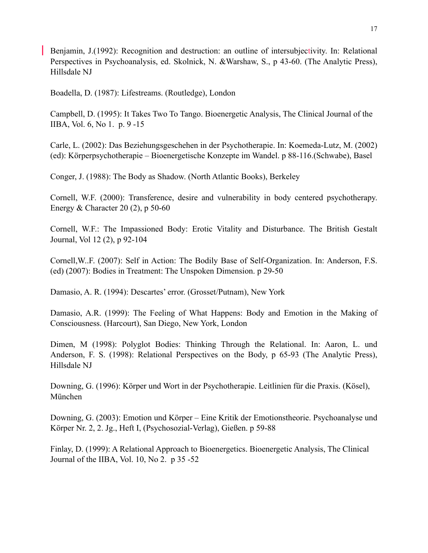Benjamin, J.(1992): Recognition and destruction: an outline of intersubjectivity. In: Relational Perspectives in Psychoanalysis, ed. Skolnick, N. &Warshaw, S., p 43-60. (The Analytic Press), Hillsdale NJ

Boadella, D. (1987): Lifestreams. (Routledge), London

Campbell, D. (1995): It Takes Two To Tango. Bioenergetic Analysis, The Clinical Journal of the IIBA, Vol. 6, No 1. p. 9 -15

Carle, L. (2002): Das Beziehungsgeschehen in der Psychotherapie. In: Koemeda-Lutz, M. (2002) (ed): Körperpsychotherapie – Bioenergetische Konzepte im Wandel. p 88-116.(Schwabe), Basel

Conger, J. (1988): The Body as Shadow. (North Atlantic Books), Berkeley

Cornell, W.F. (2000): Transference, desire and vulnerability in body centered psychotherapy. Energy  $&$  Character 20 (2), p 50-60

Cornell, W.F.: The Impassioned Body: Erotic Vitality and Disturbance. The British Gestalt Journal, Vol 12 (2), p 92-104

Cornell,W..F. (2007): Self in Action: The Bodily Base of Self-Organization. In: Anderson, F.S. (ed) (2007): Bodies in Treatment: The Unspoken Dimension. p 29-50

Damasio, A. R. (1994): Descartes' error. (Grosset/Putnam), New York

Damasio, A.R. (1999): The Feeling of What Happens: Body and Emotion in the Making of Consciousness. (Harcourt), San Diego, New York, London

Dimen, M (1998): Polyglot Bodies: Thinking Through the Relational. In: Aaron, L. und Anderson, F. S. (1998): Relational Perspectives on the Body, p 65-93 (The Analytic Press), Hillsdale NJ

Downing, G. (1996): Körper und Wort in der Psychotherapie. Leitlinien für die Praxis. (Kösel), München

Downing, G. (2003): Emotion und Körper – Eine Kritik der Emotionstheorie. Psychoanalyse und Körper Nr. 2, 2. Jg., Heft I, (Psychosozial-Verlag), Gießen. p 59-88

Finlay, D. (1999): A Relational Approach to Bioenergetics. Bioenergetic Analysis, The Clinical Journal of the IIBA, Vol. 10, No 2. p 35 -52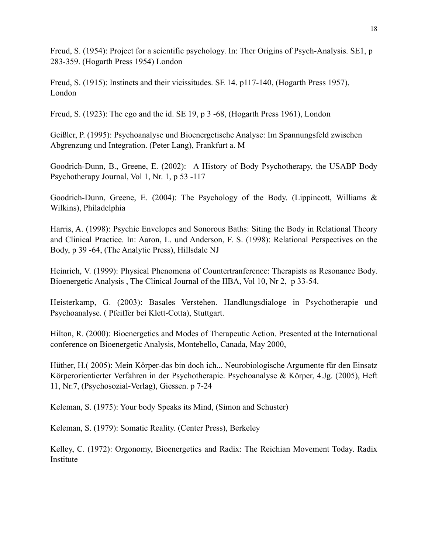Freud, S. (1954): Project for a scientific psychology. In: Ther Origins of Psych-Analysis. SE1, p 283-359. (Hogarth Press 1954) London

Freud, S. (1915): Instincts and their vicissitudes. SE 14. p117-140, (Hogarth Press 1957), London

Freud, S. (1923): The ego and the id. SE 19, p 3 -68, (Hogarth Press 1961), London

Geißler, P. (1995): Psychoanalyse und Bioenergetische Analyse: Im Spannungsfeld zwischen Abgrenzung und Integration. (Peter Lang), Frankfurt a. M

Goodrich-Dunn, B., Greene, E. (2002): A History of Body Psychotherapy, the USABP Body Psychotherapy Journal, Vol 1, Nr. 1, p 53 -117

Goodrich-Dunn, Greene, E. (2004): The Psychology of the Body. (Lippincott, Williams & Wilkins), Philadelphia

Harris, A. (1998): Psychic Envelopes and Sonorous Baths: Siting the Body in Relational Theory and Clinical Practice. In: Aaron, L. und Anderson, F. S. (1998): Relational Perspectives on the Body, p 39 -64, (The Analytic Press), Hillsdale NJ

Heinrich, V. (1999): Physical Phenomena of Countertranference: Therapists as Resonance Body. Bioenergetic Analysis , The Clinical Journal of the IIBA, Vol 10, Nr 2, p 33-54.

Heisterkamp, G. (2003): Basales Verstehen. Handlungsdialoge in Psychotherapie und Psychoanalyse. ( Pfeiffer bei Klett-Cotta), Stuttgart.

Hilton, R. (2000): Bioenergetics and Modes of Therapeutic Action. Presented at the International conference on Bioenergetic Analysis, Montebello, Canada, May 2000,

Hüther, H.( 2005): Mein Körper-das bin doch ich... Neurobiologische Argumente für den Einsatz Körperorientierter Verfahren in der Psychotherapie. Psychoanalyse & Körper, 4.Jg. (2005), Heft 11, Nr.7, (Psychosozial-Verlag), Giessen. p 7-24

Keleman, S. (1975): Your body Speaks its Mind, (Simon and Schuster)

Keleman, S. (1979): Somatic Reality. (Center Press), Berkeley

Kelley, C. (1972): Orgonomy, Bioenergetics and Radix: The Reichian Movement Today. Radix Institute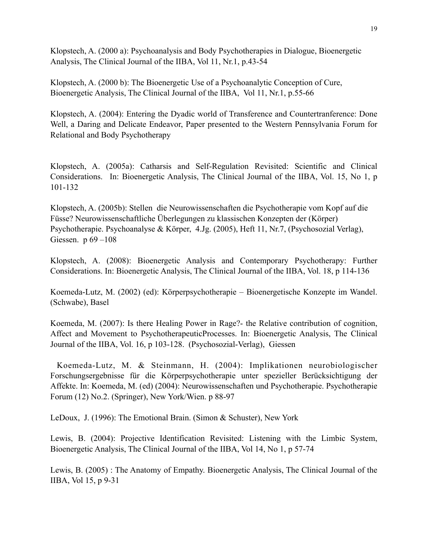Klopstech, A. (2000 a): Psychoanalysis and Body Psychotherapies in Dialogue, Bioenergetic Analysis, The Clinical Journal of the IIBA, Vol 11, Nr.1, p.43-54

Klopstech, A. (2000 b): The Bioenergetic Use of a Psychoanalytic Conception of Cure, Bioenergetic Analysis, The Clinical Journal of the IIBA, Vol 11, Nr.1, p.55-66

Klopstech, A. (2004): Entering the Dyadic world of Transference and Countertranference: Done Well, a Daring and Delicate Endeavor, Paper presented to the Western Pennsylvania Forum for Relational and Body Psychotherapy

Klopstech, A. (2005a): Catharsis and Self-Regulation Revisited: Scientific and Clinical Considerations. In: Bioenergetic Analysis, The Clinical Journal of the IIBA, Vol. 15, No 1, p 101-132

Klopstech, A. (2005b): Stellen die Neurowissenschaften die Psychotherapie vom Kopf auf die Füsse? Neurowissenschaftliche Überlegungen zu klassischen Konzepten der (Körper) Psychotherapie. Psychoanalyse & Körper, 4.Jg. (2005), Heft 11, Nr.7, (Psychosozial Verlag), Giessen. p  $69 - 108$ 

Klopstech, A. (2008): Bioenergetic Analysis and Contemporary Psychotherapy: Further Considerations. In: Bioenergetic Analysis, The Clinical Journal of the IIBA, Vol. 18, p 114-136

Koemeda-Lutz, M. (2002) (ed): Körperpsychotherapie – Bioenergetische Konzepte im Wandel. (Schwabe), Basel

Koemeda, M. (2007): Is there Healing Power in Rage?- the Relative contribution of cognition, Affect and Movement to PsychotherapeuticProcesses. In: Bioenergetic Analysis, The Clinical Journal of the IIBA, Vol. 16, p 103-128. (Psychosozial-Verlag), Giessen

 Koemeda-Lutz, M. & Steinmann, H. (2004): Implikationen neurobiologischer Forschungsergebnisse für die Körperpsychotherapie unter spezieller Berücksichtigung der Affekte. In: Koemeda, M. (ed) (2004): Neurowissenschaften und Psychotherapie. Psychotherapie Forum (12) No.2. (Springer), New York/Wien. p 88-97

LeDoux, J. (1996): The Emotional Brain. (Simon & Schuster), New York

Lewis, B. (2004): Projective Identification Revisited: Listening with the Limbic System, Bioenergetic Analysis, The Clinical Journal of the IIBA, Vol 14, No 1, p 57-74

Lewis, B. (2005) : The Anatomy of Empathy. Bioenergetic Analysis, The Clinical Journal of the IIBA, Vol 15, p 9-31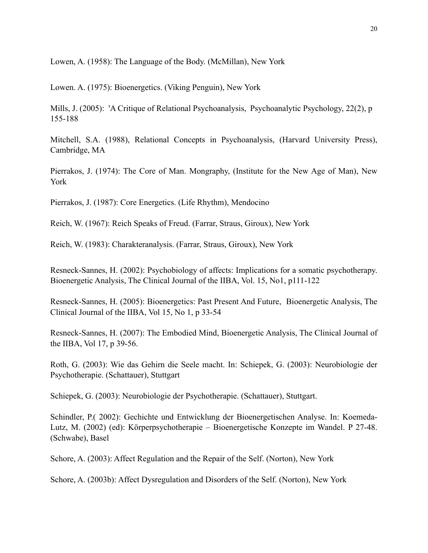Lowen, A. (1958): The Language of the Body. (McMillan), New York

Lowen. A. (1975): Bioenergetics. (Viking Penguin), New York

Mills, J. (2005): 'A Critique of Relational Psychoanalysis, Psychoanalytic Psychology, 22(2), p 155-188

Mitchell, S.A. (1988), Relational Concepts in Psychoanalysis, (Harvard University Press), Cambridge, MA

Pierrakos, J. (1974): The Core of Man. Mongraphy, (Institute for the New Age of Man), New York

Pierrakos, J. (1987): Core Energetics. (Life Rhythm), Mendocino

Reich, W. (1967): Reich Speaks of Freud. (Farrar, Straus, Giroux), New York

Reich, W. (1983): Charakteranalysis. (Farrar, Straus, Giroux), New York

Resneck-Sannes, H. (2002): Psychobiology of affects: Implications for a somatic psychotherapy. Bioenergetic Analysis, The Clinical Journal of the IIBA, Vol. 15, No1, p111-122

Resneck-Sannes, H. (2005): Bioenergetics: Past Present And Future, Bioenergetic Analysis, The Clinical Journal of the IIBA, Vol 15, No 1, p 33-54

Resneck-Sannes, H. (2007): The Embodied Mind, Bioenergetic Analysis, The Clinical Journal of the IIBA, Vol 17, p 39-56.

Roth, G. (2003): Wie das Gehirn die Seele macht. In: Schiepek, G. (2003): Neurobiologie der Psychotherapie. (Schattauer), Stuttgart

Schiepek, G. (2003): Neurobiologie der Psychotherapie. (Schattauer), Stuttgart.

Schindler, P.( 2002): Gechichte und Entwicklung der Bioenergetischen Analyse. In: Koemeda-Lutz, M. (2002) (ed): Körperpsychotherapie – Bioenergetische Konzepte im Wandel. P 27-48. (Schwabe), Basel

Schore, A. (2003): Affect Regulation and the Repair of the Self. (Norton), New York

Schore, A. (2003b): Affect Dysregulation and Disorders of the Self. (Norton), New York